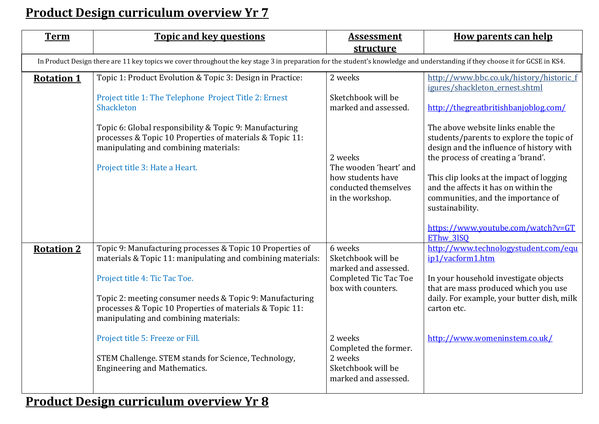## **Product Design curriculum overview Yr 7**

| <b>Term</b>                                                                                                                                                                   | <b>Topic and key questions</b>                                                                                                                                                                                                                                                                                                                                                                                         | <b>Assessment</b><br>structure                                                                                                                             | <b>How parents can help</b>                                                                                                                                                                                                                                                                                                                                      |  |  |
|-------------------------------------------------------------------------------------------------------------------------------------------------------------------------------|------------------------------------------------------------------------------------------------------------------------------------------------------------------------------------------------------------------------------------------------------------------------------------------------------------------------------------------------------------------------------------------------------------------------|------------------------------------------------------------------------------------------------------------------------------------------------------------|------------------------------------------------------------------------------------------------------------------------------------------------------------------------------------------------------------------------------------------------------------------------------------------------------------------------------------------------------------------|--|--|
| In Product Design there are 11 key topics we cover throughout the key stage 3 in preparation for the student's knowledge and understanding if they choose it for GCSE in KS4. |                                                                                                                                                                                                                                                                                                                                                                                                                        |                                                                                                                                                            |                                                                                                                                                                                                                                                                                                                                                                  |  |  |
| <b>Rotation 1</b>                                                                                                                                                             | Topic 1: Product Evolution & Topic 3: Design in Practice:<br>Project title 1: The Telephone Project Title 2: Ernest<br>Shackleton                                                                                                                                                                                                                                                                                      | 2 weeks<br>Sketchbook will be<br>marked and assessed.                                                                                                      | http://www.bbc.co.uk/history/historic f<br>igures/shackleton ernest.shtml<br>http://thegreatbritishbanjoblog.com/                                                                                                                                                                                                                                                |  |  |
|                                                                                                                                                                               | Topic 6: Global responsibility & Topic 9: Manufacturing<br>processes & Topic 10 Properties of materials & Topic 11:<br>manipulating and combining materials:<br>Project title 3: Hate a Heart.                                                                                                                                                                                                                         | 2 weeks<br>The wooden 'heart' and<br>how students have<br>conducted themselves<br>in the workshop.                                                         | The above website links enable the<br>students/parents to explore the topic of<br>design and the influence of history with<br>the process of creating a 'brand'.<br>This clip looks at the impact of logging<br>and the affects it has on within the<br>communities, and the importance of<br>sustainability.<br>https://www.youtube.com/watch?v=GT<br>EThw 3ISQ |  |  |
| <b>Rotation 2</b>                                                                                                                                                             | Topic 9: Manufacturing processes & Topic 10 Properties of<br>materials & Topic 11: manipulating and combining materials:<br>Project title 4: Tic Tac Toe.<br>Topic 2: meeting consumer needs & Topic 9: Manufacturing<br>processes & Topic 10 Properties of materials & Topic 11:<br>manipulating and combining materials:<br>Project title 5: Freeze or Fill.<br>STEM Challenge. STEM stands for Science, Technology, | 6 weeks<br>Sketchbook will be<br>marked and assessed.<br><b>Completed Tic Tac Toe</b><br>box with counters.<br>2 weeks<br>Completed the former.<br>2 weeks | http://www.technologystudent.com/equ<br>ip1/vacform1.htm<br>In your household investigate objects<br>that are mass produced which you use<br>daily. For example, your butter dish, milk<br>carton etc.<br>http://www.womeninstem.co.uk/                                                                                                                          |  |  |
|                                                                                                                                                                               | <b>Engineering and Mathematics.</b>                                                                                                                                                                                                                                                                                                                                                                                    | Sketchbook will be<br>marked and assessed.                                                                                                                 |                                                                                                                                                                                                                                                                                                                                                                  |  |  |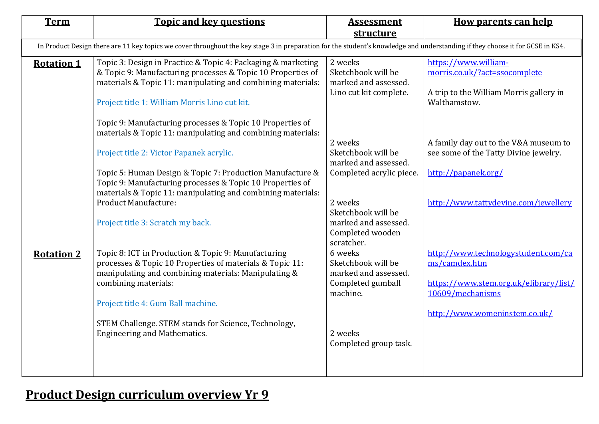| <b>Term</b>                                                                                                                                                                   | <b>Topic and key questions</b>                                                                                                                                                                                                                                                                                                                                       | <b>Assessment</b><br>structure                                                                                                                                 | <b>How parents can help</b>                                                                                                                         |  |  |  |
|-------------------------------------------------------------------------------------------------------------------------------------------------------------------------------|----------------------------------------------------------------------------------------------------------------------------------------------------------------------------------------------------------------------------------------------------------------------------------------------------------------------------------------------------------------------|----------------------------------------------------------------------------------------------------------------------------------------------------------------|-----------------------------------------------------------------------------------------------------------------------------------------------------|--|--|--|
| In Product Design there are 11 key topics we cover throughout the key stage 3 in preparation for the student's knowledge and understanding if they choose it for GCSE in KS4. |                                                                                                                                                                                                                                                                                                                                                                      |                                                                                                                                                                |                                                                                                                                                     |  |  |  |
| <b>Rotation 1</b>                                                                                                                                                             | Topic 3: Design in Practice & Topic 4: Packaging & marketing<br>& Topic 9: Manufacturing processes & Topic 10 Properties of<br>materials & Topic 11: manipulating and combining materials:<br>Project title 1: William Morris Lino cut kit.<br>Topic 9: Manufacturing processes & Topic 10 Properties of                                                             | 2 weeks<br>Sketchbook will be<br>marked and assessed.<br>Lino cut kit complete.                                                                                | https://www.william-<br>morris.co.uk/?act=ssocomplete<br>A trip to the William Morris gallery in<br>Walthamstow.                                    |  |  |  |
|                                                                                                                                                                               | materials & Topic 11: manipulating and combining materials:<br>Project title 2: Victor Papanek acrylic.<br>Topic 5: Human Design & Topic 7: Production Manufacture &<br>Topic 9: Manufacturing processes & Topic 10 Properties of<br>materials & Topic 11: manipulating and combining materials:<br><b>Product Manufacture:</b><br>Project title 3: Scratch my back. | 2 weeks<br>Sketchbook will be<br>marked and assessed.<br>Completed acrylic piece.<br>2 weeks<br>Sketchbook will be<br>marked and assessed.<br>Completed wooden | A family day out to the V&A museum to<br>see some of the Tatty Divine jewelry.<br>http://papanek.org/<br>http://www.tattydevine.com/jewellery       |  |  |  |
| <b>Rotation 2</b>                                                                                                                                                             | Topic 8: ICT in Production & Topic 9: Manufacturing<br>processes & Topic 10 Properties of materials & Topic 11:<br>manipulating and combining materials: Manipulating &<br>combining materials:<br>Project title 4: Gum Ball machine.<br>STEM Challenge. STEM stands for Science, Technology,<br><b>Engineering and Mathematics.</b>                                 | scratcher.<br>6 weeks<br>Sketchbook will be<br>marked and assessed.<br>Completed gumball<br>machine.<br>2 weeks<br>Completed group task.                       | http://www.technologystudent.com/ca<br>ms/camdex.htm<br>https://www.stem.org.uk/elibrary/list/<br>10609/mechanisms<br>http://www.womeninstem.co.uk/ |  |  |  |

## **Product Design curriculum overview Yr 9**